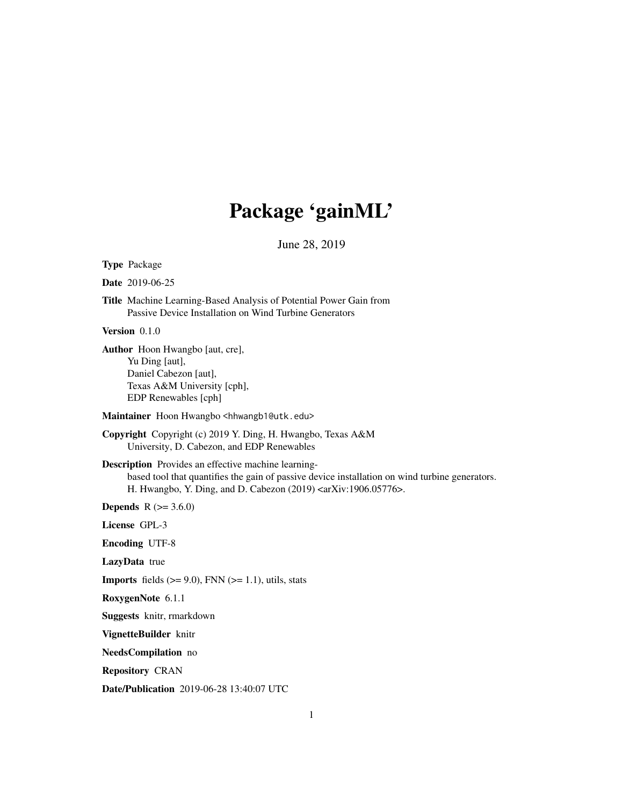# Package 'gainML'

June 28, 2019

Type Package

Date 2019-06-25

Title Machine Learning-Based Analysis of Potential Power Gain from Passive Device Installation on Wind Turbine Generators

Version 0.1.0

Author Hoon Hwangbo [aut, cre], Yu Ding [aut], Daniel Cabezon [aut], Texas A&M University [cph], EDP Renewables [cph]

Maintainer Hoon Hwangbo <hhwangb1@utk.edu>

Copyright Copyright (c) 2019 Y. Ding, H. Hwangbo, Texas A&M University, D. Cabezon, and EDP Renewables

Description Provides an effective machine learningbased tool that quantifies the gain of passive device installation on wind turbine generators. H. Hwangbo, Y. Ding, and D. Cabezon (2019) <arXiv:1906.05776>.

**Depends** R  $(>= 3.6.0)$ 

License GPL-3

Encoding UTF-8

LazyData true

**Imports** fields  $(>= 9.0)$ , FNN  $(>= 1.1)$ , utils, stats

RoxygenNote 6.1.1

Suggests knitr, rmarkdown

VignetteBuilder knitr

NeedsCompilation no

Repository CRAN

Date/Publication 2019-06-28 13:40:07 UTC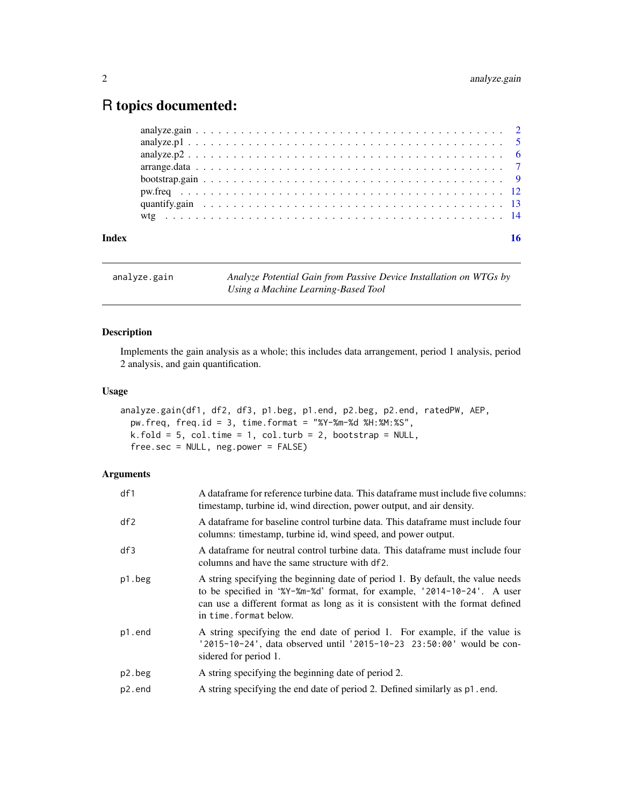# <span id="page-1-0"></span>R topics documented:

| Index |  |  |  |  |  |  |  |  |  |  |  |  |  |  |  |  |  |  |  |  | 16 |
|-------|--|--|--|--|--|--|--|--|--|--|--|--|--|--|--|--|--|--|--|--|----|
|       |  |  |  |  |  |  |  |  |  |  |  |  |  |  |  |  |  |  |  |  |    |
|       |  |  |  |  |  |  |  |  |  |  |  |  |  |  |  |  |  |  |  |  |    |
|       |  |  |  |  |  |  |  |  |  |  |  |  |  |  |  |  |  |  |  |  |    |
|       |  |  |  |  |  |  |  |  |  |  |  |  |  |  |  |  |  |  |  |  |    |
|       |  |  |  |  |  |  |  |  |  |  |  |  |  |  |  |  |  |  |  |  |    |
|       |  |  |  |  |  |  |  |  |  |  |  |  |  |  |  |  |  |  |  |  |    |
|       |  |  |  |  |  |  |  |  |  |  |  |  |  |  |  |  |  |  |  |  |    |
|       |  |  |  |  |  |  |  |  |  |  |  |  |  |  |  |  |  |  |  |  |    |

<span id="page-1-1"></span>analyze.gain *Analyze Potential Gain from Passive Device Installation on WTGs by Using a Machine Learning-Based Tool*

# Description

Implements the gain analysis as a whole; this includes data arrangement, period 1 analysis, period 2 analysis, and gain quantification.

# Usage

```
analyze.gain(df1, df2, df3, p1.beg, p1.end, p2.beg, p2.end, ratedPW, AEP,
 pw.freq, freq.id = 3, time.format = "%Y-%m-%d %H:%M:%S",
 k.fold = 5, col.time = 1, col.turb = 2, bootstrap = NULL,
  free.sec = NULL, neg.power = FALSE)
```
# Arguments

| df1    | A dataframe for reference turbine data. This dataframe must include five columns:<br>timestamp, turbine id, wind direction, power output, and air density.                                                                                                             |
|--------|------------------------------------------------------------------------------------------------------------------------------------------------------------------------------------------------------------------------------------------------------------------------|
| df2    | A dataframe for baseline control turbine data. This dataframe must include four<br>columns: timestamp, turbine id, wind speed, and power output.                                                                                                                       |
| df3    | A dataframe for neutral control turbine data. This dataframe must include four<br>columns and have the same structure with df2.                                                                                                                                        |
| p1.beg | A string specifying the beginning date of period 1. By default, the value needs<br>to be specified in '%Y-%m-%d' format, for example, '2014-10-24'. A user<br>can use a different format as long as it is consistent with the format defined<br>in time. format below. |
| p1.end | A string specifying the end date of period 1. For example, if the value is<br>'2015-10-24', data observed until '2015-10-23 23:50:00' would be con-<br>sidered for period 1.                                                                                           |
| p2.beg | A string specifying the beginning date of period 2.                                                                                                                                                                                                                    |
| p2.end | A string specifying the end date of period 2. Defined similarly as p1.end.                                                                                                                                                                                             |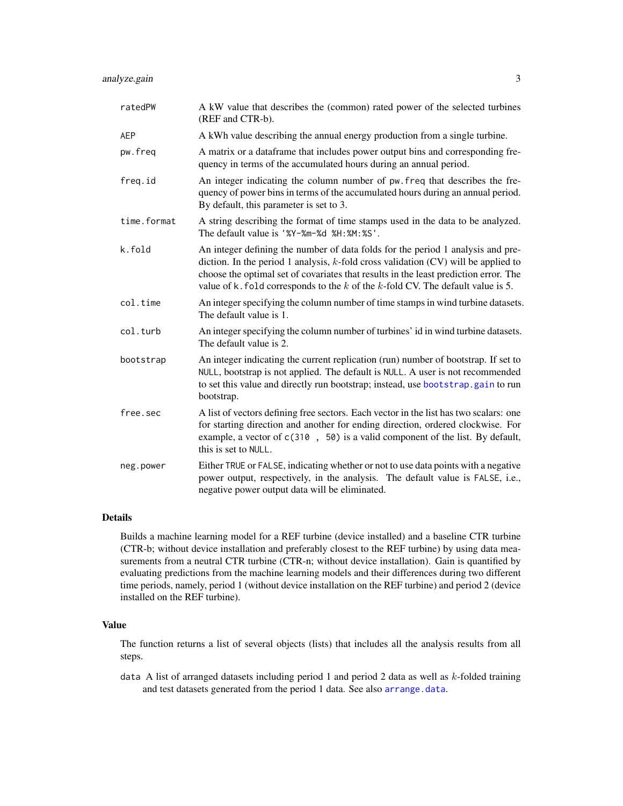<span id="page-2-0"></span>

| ratedPW     | A kW value that describes the (common) rated power of the selected turbines<br>(REF and CTR-b).                                                                                                                                                                                                                                                          |
|-------------|----------------------------------------------------------------------------------------------------------------------------------------------------------------------------------------------------------------------------------------------------------------------------------------------------------------------------------------------------------|
| <b>AEP</b>  | A kWh value describing the annual energy production from a single turbine.                                                                                                                                                                                                                                                                               |
| pw.freq     | A matrix or a data frame that includes power output bins and corresponding fre-<br>quency in terms of the accumulated hours during an annual period.                                                                                                                                                                                                     |
| freq.id     | An integer indicating the column number of pw. freq that describes the fre-<br>quency of power bins in terms of the accumulated hours during an annual period.<br>By default, this parameter is set to 3.                                                                                                                                                |
| time.format | A string describing the format of time stamps used in the data to be analyzed.<br>The default value is '%Y-%m-%d %H:%M:%S'.                                                                                                                                                                                                                              |
| k.fold      | An integer defining the number of data folds for the period 1 analysis and pre-<br>diction. In the period 1 analysis, $k$ -fold cross validation (CV) will be applied to<br>choose the optimal set of covariates that results in the least prediction error. The<br>value of k. fold corresponds to the $k$ of the $k$ -fold CV. The default value is 5. |
| col.time    | An integer specifying the column number of time stamps in wind turbine datasets.<br>The default value is 1.                                                                                                                                                                                                                                              |
| col.turb    | An integer specifying the column number of turbines' id in wind turbine datasets.<br>The default value is 2.                                                                                                                                                                                                                                             |
| bootstrap   | An integer indicating the current replication (run) number of bootstrap. If set to<br>NULL, bootstrap is not applied. The default is NULL. A user is not recommended<br>to set this value and directly run bootstrap; instead, use bootstrap.gain to run<br>bootstrap.                                                                                   |
| free.sec    | A list of vectors defining free sectors. Each vector in the list has two scalars: one<br>for starting direction and another for ending direction, ordered clockwise. For<br>example, a vector of c(310, 50) is a valid component of the list. By default,<br>this is set to NULL.                                                                        |
| neg.power   | Either TRUE or FALSE, indicating whether or not to use data points with a negative<br>power output, respectively, in the analysis. The default value is FALSE, i.e.,<br>negative power output data will be eliminated.                                                                                                                                   |

# Details

Builds a machine learning model for a REF turbine (device installed) and a baseline CTR turbine (CTR-b; without device installation and preferably closest to the REF turbine) by using data measurements from a neutral CTR turbine (CTR-n; without device installation). Gain is quantified by evaluating predictions from the machine learning models and their differences during two different time periods, namely, period 1 (without device installation on the REF turbine) and period 2 (device installed on the REF turbine).

# Value

The function returns a list of several objects (lists) that includes all the analysis results from all steps.

data A list of arranged datasets including period 1 and period 2 data as well as  $k$ -folded training and test datasets generated from the period 1 data. See also [arrange.data](#page-6-1).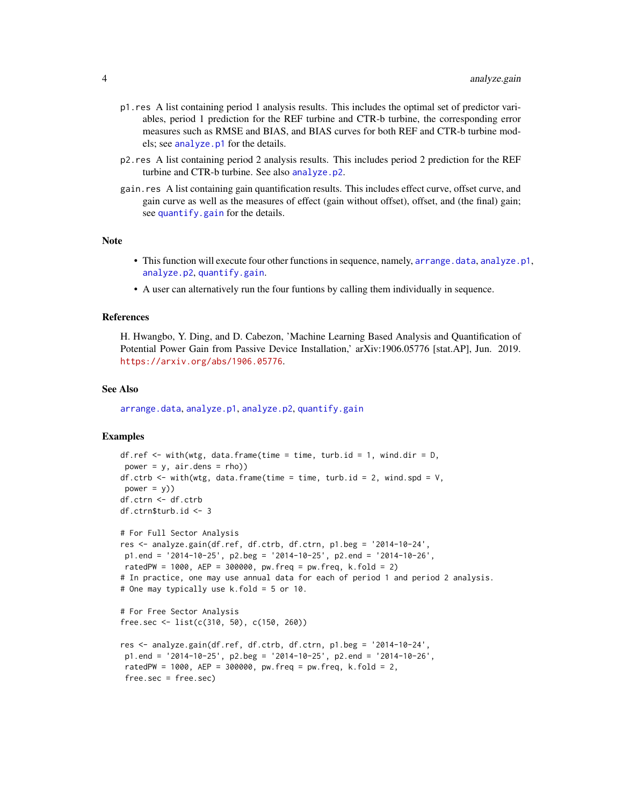- <span id="page-3-0"></span>p1.res A list containing period 1 analysis results. This includes the optimal set of predictor variables, period 1 prediction for the REF turbine and CTR-b turbine, the corresponding error measures such as RMSE and BIAS, and BIAS curves for both REF and CTR-b turbine models; see [analyze.p1](#page-4-1) for the details.
- p2.res A list containing period 2 analysis results. This includes period 2 prediction for the REF turbine and CTR-b turbine. See also [analyze.p2](#page-5-1).
- gain.res A list containing gain quantification results. This includes effect curve, offset curve, and gain curve as well as the measures of effect (gain without offset), offset, and (the final) gain; see [quantify.gain](#page-12-1) for the details.

### **Note**

- This function will execute four other functions in sequence, namely, [arrange.data](#page-6-1), [analyze.p1](#page-4-1), [analyze.p2](#page-5-1), [quantify.gain](#page-12-1).
- A user can alternatively run the four funtions by calling them individually in sequence.

# References

H. Hwangbo, Y. Ding, and D. Cabezon, 'Machine Learning Based Analysis and Quantification of Potential Power Gain from Passive Device Installation,' arXiv:1906.05776 [stat.AP], Jun. 2019. <https://arxiv.org/abs/1906.05776>.

#### See Also

[arrange.data](#page-6-1), [analyze.p1](#page-4-1), [analyze.p2](#page-5-1), [quantify.gain](#page-12-1)

# Examples

```
df.ref \leq with(wtg, data.frame(time = time, turb.id = 1, wind.dir = D,
power = y, air.dens = rho))
df.ctrb \leq with(wtg, data.frame(time = time, turb.id = 2, wind.spd = V,
power = y)df.ctrn <- df.ctrb
df.ctrn$turb.id <- 3
# For Full Sector Analysis
res <- analyze.gain(df.ref, df.ctrb, df.ctrn, p1.beg = '2014-10-24',
p1.end = '2014-10-25', p2.beg = '2014-10-25', p2.end = '2014-10-26',
ratedPW = 1000, AEP = 300000, pw.freq = pw.freq, k.fold = 2)
# In practice, one may use annual data for each of period 1 and period 2 analysis.
# One may typically use k.fold = 5 or 10.
# For Free Sector Analysis
free.sec <- list(c(310, 50), c(150, 260))
res <- analyze.gain(df.ref, df.ctrb, df.ctrn, p1.beg = '2014-10-24',
p1.end = '2014-10-25', p2.beg = '2014-10-25', p2.end = '2014-10-26',
ratedPW = 1000, AEP = 300000, pw.freq = pw.freq, k.fold = 2,
 free.sec = free.sec)
```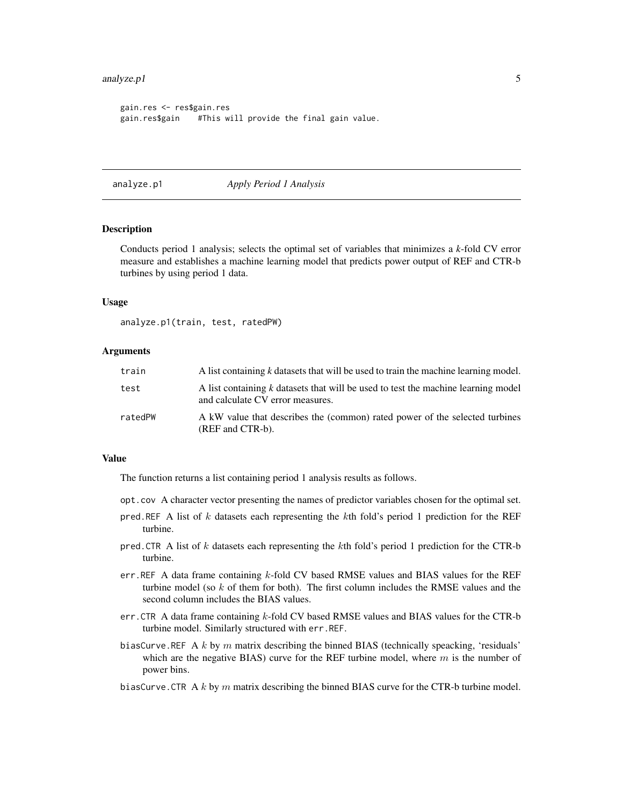### <span id="page-4-0"></span>analyze.p1 5

```
gain.res <- res$gain.res
gain.res$gain #This will provide the final gain value.
```
<span id="page-4-1"></span>analyze.p1 *Apply Period 1 Analysis*

# Description

Conducts period 1 analysis; selects the optimal set of variables that minimizes a *k*-fold CV error measure and establishes a machine learning model that predicts power output of REF and CTR-b turbines by using period 1 data.

### Usage

analyze.p1(train, test, ratedPW)

# Arguments

| train   | A list containing k datasets that will be used to train the machine learning model.                                   |
|---------|-----------------------------------------------------------------------------------------------------------------------|
| test    | A list containing k datasets that will be used to test the machine learning model<br>and calculate CV error measures. |
| ratedPW | A kW value that describes the (common) rated power of the selected turbines<br>(REF and CTR-b).                       |

# Value

The function returns a list containing period 1 analysis results as follows.

- opt.cov A character vector presenting the names of predictor variables chosen for the optimal set.
- pred.REF A list of  $k$  datasets each representing the  $k$ th fold's period 1 prediction for the REF turbine.
- pred.CTR A list of k datasets each representing the kth fold's period 1 prediction for the CTR-b turbine.
- err.REF A data frame containing  $k$ -fold CV based RMSE values and BIAS values for the REF turbine model (so  $k$  of them for both). The first column includes the RMSE values and the second column includes the BIAS values.
- err.CTR A data frame containing  $k$ -fold CV based RMSE values and BIAS values for the CTR-b turbine model. Similarly structured with err.REF.
- biasCurve.REF A k by m matrix describing the binned BIAS (technically speacking, 'residuals' which are the negative BIAS) curve for the REF turbine model, where  $m$  is the number of power bins.
- biasCurve.CTR A k by  $m$  matrix describing the binned BIAS curve for the CTR-b turbine model.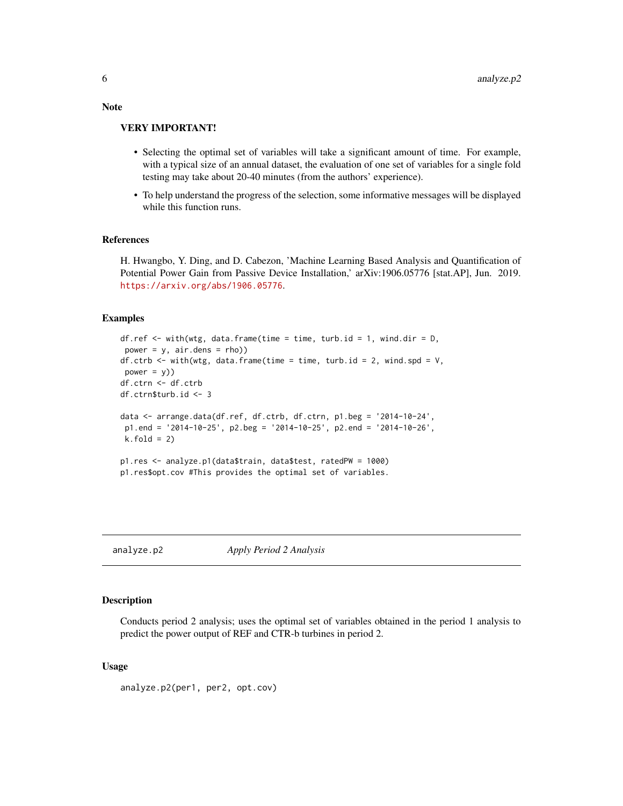#### VERY IMPORTANT!

- Selecting the optimal set of variables will take a significant amount of time. For example, with a typical size of an annual dataset, the evaluation of one set of variables for a single fold testing may take about 20-40 minutes (from the authors' experience).
- To help understand the progress of the selection, some informative messages will be displayed while this function runs.

# References

H. Hwangbo, Y. Ding, and D. Cabezon, 'Machine Learning Based Analysis and Quantification of Potential Power Gain from Passive Device Installation,' arXiv:1906.05776 [stat.AP], Jun. 2019. <https://arxiv.org/abs/1906.05776>.

# Examples

```
df.ref \leq with(wtg, data.frame(time = time, turb.id = 1, wind.dir = D,
power = y, air.dens = rho))
df.ctrb \leq with(wtg, data.frame(time = time, turb.id = 2, wind.spd = V,
power = y)df.ctrn <- df.ctrb
df.ctrn$turb.id <- 3
data <- arrange.data(df.ref, df.ctrb, df.ctrn, p1.beg = '2014-10-24',
p1.end = '2014-10-25', p2.beg = '2014-10-25', p2.end = '2014-10-26',
k.fold = 2)p1.res <- analyze.p1(data$train, data$test, ratedPW = 1000)
p1.res$opt.cov #This provides the optimal set of variables.
```
<span id="page-5-1"></span>

analyze.p2 *Apply Period 2 Analysis*

#### Description

Conducts period 2 analysis; uses the optimal set of variables obtained in the period 1 analysis to predict the power output of REF and CTR-b turbines in period 2.

# Usage

analyze.p2(per1, per2, opt.cov)

<span id="page-5-0"></span>Note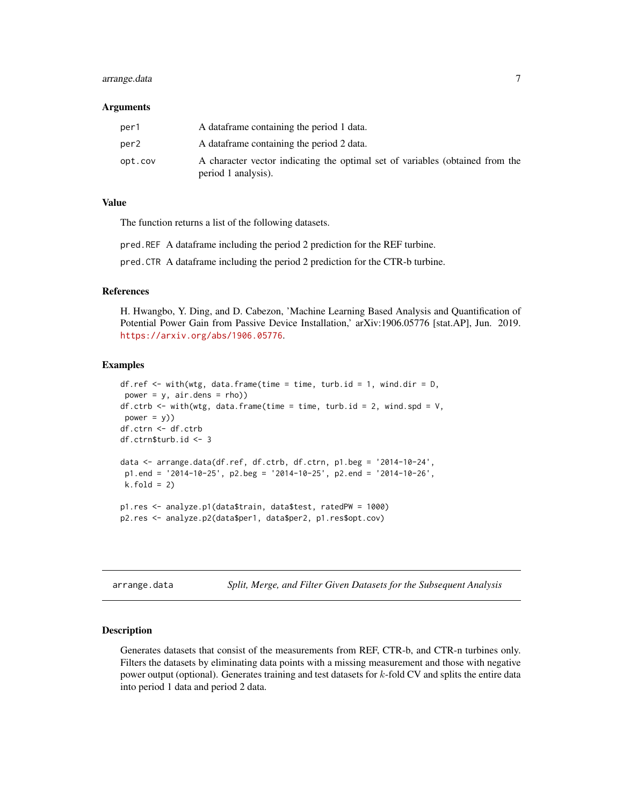# <span id="page-6-0"></span>arrange.data 7

#### Arguments

| per1    | A data frame containing the period 1 data.                                                           |
|---------|------------------------------------------------------------------------------------------------------|
| per2    | A data frame containing the period 2 data.                                                           |
| opt.cov | A character vector indicating the optimal set of variables (obtained from the<br>period 1 analysis). |

# Value

The function returns a list of the following datasets.

pred.REF A dataframe including the period 2 prediction for the REF turbine.

pred.CTR A dataframe including the period 2 prediction for the CTR-b turbine.

# References

H. Hwangbo, Y. Ding, and D. Cabezon, 'Machine Learning Based Analysis and Quantification of Potential Power Gain from Passive Device Installation,' arXiv:1906.05776 [stat.AP], Jun. 2019. <https://arxiv.org/abs/1906.05776>.

# Examples

```
df.ref \leq with(wtg, data.frame(time = time, turb.id = 1, wind.dir = D,
power = y, air.dens = rho))
df.ctrb \leq with(wtg, data.frame(time = time, turb.id = 2, wind.spd = V,
power = y)df.ctrn <- df.ctrb
df.ctrn$turb.id <- 3
data <- arrange.data(df.ref, df.ctrb, df.ctrn, p1.beg = '2014-10-24',
p1.end = '2014-10-25', p2.beg = '2014-10-25', p2.end = '2014-10-26',
k.fold = 2)p1.res <- analyze.p1(data$train, data$test, ratedPW = 1000)
p2.res <- analyze.p2(data$per1, data$per2, p1.res$opt.cov)
```
<span id="page-6-1"></span>arrange.data *Split, Merge, and Filter Given Datasets for the Subsequent Analysis*

# Description

Generates datasets that consist of the measurements from REF, CTR-b, and CTR-n turbines only. Filters the datasets by eliminating data points with a missing measurement and those with negative power output (optional). Generates training and test datasets for  $k$ -fold CV and splits the entire data into period 1 data and period 2 data.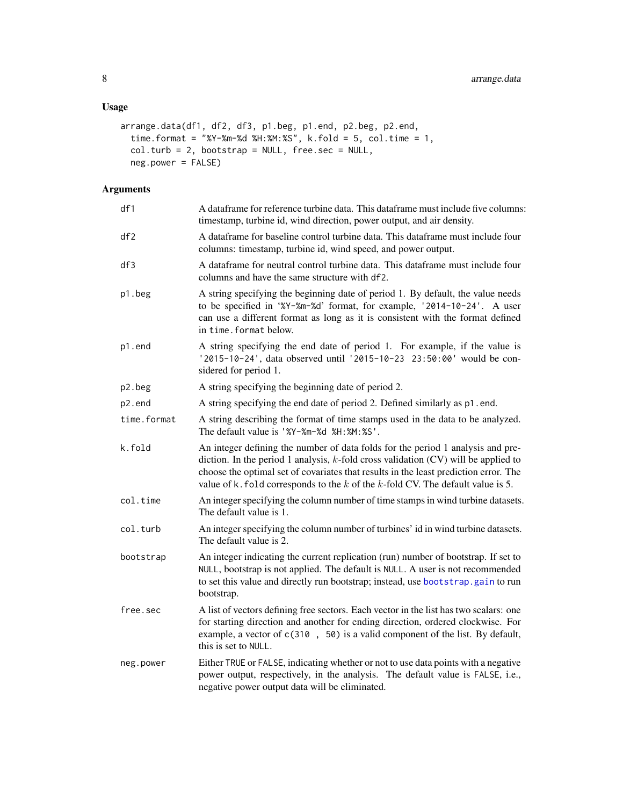# <span id="page-7-0"></span>Usage

```
arrange.data(df1, df2, df3, p1.beg, p1.end, p2.beg, p2.end,
  time.format = "%Y-%m-%d %H:%M:%S", k.fold = 5, col.time = 1,
  col.turb = 2, bootstrap = NULL, free.sec = NULL,
  neg.power = FALSE)
```
# Arguments

| df1         | A dataframe for reference turbine data. This dataframe must include five columns:<br>timestamp, turbine id, wind direction, power output, and air density.                                                                                                                                                                                                  |
|-------------|-------------------------------------------------------------------------------------------------------------------------------------------------------------------------------------------------------------------------------------------------------------------------------------------------------------------------------------------------------------|
| df2         | A dataframe for baseline control turbine data. This dataframe must include four<br>columns: timestamp, turbine id, wind speed, and power output.                                                                                                                                                                                                            |
| df3         | A dataframe for neutral control turbine data. This dataframe must include four<br>columns and have the same structure with df2.                                                                                                                                                                                                                             |
| p1.beg      | A string specifying the beginning date of period 1. By default, the value needs<br>to be specified in '%Y-%m-%d' format, for example, '2014-10-24'. A user<br>can use a different format as long as it is consistent with the format defined<br>in time. format below.                                                                                      |
| p1.end      | A string specifying the end date of period 1. For example, if the value is<br>'2015-10-24', data observed until '2015-10-23 23:50:00' would be con-<br>sidered for period 1.                                                                                                                                                                                |
| p2.beg      | A string specifying the beginning date of period 2.                                                                                                                                                                                                                                                                                                         |
| p2.end      | A string specifying the end date of period 2. Defined similarly as p1.end.                                                                                                                                                                                                                                                                                  |
| time.format | A string describing the format of time stamps used in the data to be analyzed.<br>The default value is '%Y-%m-%d %H:%M:%S'.                                                                                                                                                                                                                                 |
| k.fold      | An integer defining the number of data folds for the period 1 analysis and pre-<br>diction. In the period 1 analysis, $k$ -fold cross validation (CV) will be applied to<br>choose the optimal set of covariates that results in the least prediction error. The<br>value of $k$ . fold corresponds to the $k$ of the $k$ -fold CV. The default value is 5. |
| col.time    | An integer specifying the column number of time stamps in wind turbine datasets.<br>The default value is 1.                                                                                                                                                                                                                                                 |
| col.turb    | An integer specifying the column number of turbines' id in wind turbine datasets.<br>The default value is 2.                                                                                                                                                                                                                                                |
| bootstrap   | An integer indicating the current replication (run) number of bootstrap. If set to<br>NULL, bootstrap is not applied. The default is NULL. A user is not recommended<br>to set this value and directly run bootstrap; instead, use bootstrap.gain to run<br>bootstrap.                                                                                      |
| free.sec    | A list of vectors defining free sectors. Each vector in the list has two scalars: one<br>for starting direction and another for ending direction, ordered clockwise. For<br>example, a vector of c(310, 50) is a valid component of the list. By default,<br>this is set to NULL.                                                                           |
| neg.power   | Either TRUE or FALSE, indicating whether or not to use data points with a negative<br>power output, respectively, in the analysis. The default value is FALSE, i.e.,<br>negative power output data will be eliminated.                                                                                                                                      |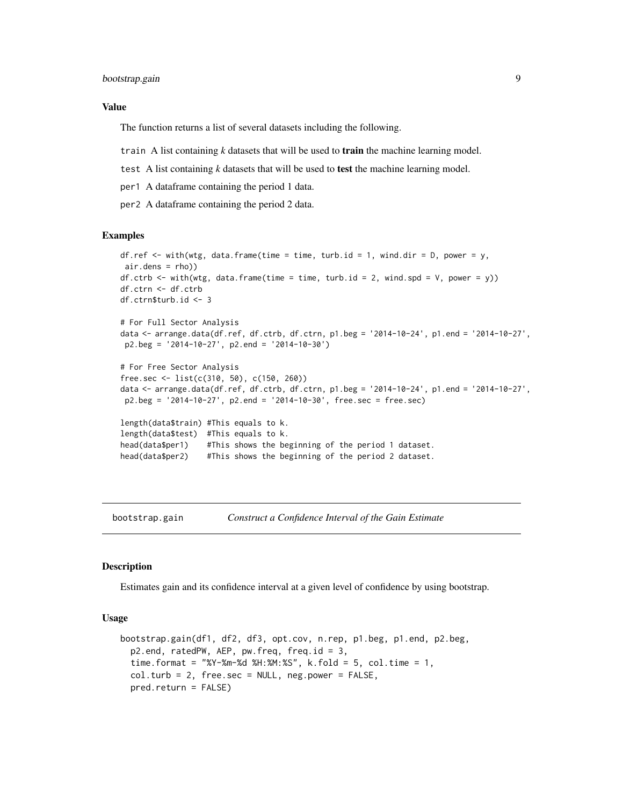# <span id="page-8-0"></span>Value

The function returns a list of several datasets including the following.

train A list containing *k* datasets that will be used to train the machine learning model.

test A list containing *k* datasets that will be used to test the machine learning model.

per1 A dataframe containing the period 1 data.

per2 A dataframe containing the period 2 data.

# Examples

```
df.ref \le with(wtg, data.frame(time = time, turb.id = 1, wind.dir = D, power = y,
air.dens = rho))
df.ctrb \leq with(wtg, data.frame(time = time, turb.id = 2, wind.spd = V, power = y))
df.ctrn <- df.ctrb
df.ctrn$turb.id <- 3
# For Full Sector Analysis
data <- arrange.data(df.ref, df.ctrb, df.ctrn, p1.beg = '2014-10-24', p1.end = '2014-10-27',
p2.beg = '2014-10-27', p2.end = '2014-10-30')
# For Free Sector Analysis
free.sec <- list(c(310, 50), c(150, 260))
data <- arrange.data(df.ref, df.ctrb, df.ctrn, p1.beg = '2014-10-24', p1.end = '2014-10-27',
p2.beg = '2014-10-27', p2.end = '2014-10-30', free.sec = free.sec)
length(data$train) #This equals to k.
length(data$test) #This equals to k.
head(data$per1) #This shows the beginning of the period 1 dataset.
head(data$per2) #This shows the beginning of the period 2 dataset.
```
<span id="page-8-1"></span>bootstrap.gain *Construct a Confidence Interval of the Gain Estimate*

### **Description**

Estimates gain and its confidence interval at a given level of confidence by using bootstrap.

#### Usage

```
bootstrap.gain(df1, df2, df3, opt.cov, n.rep, p1.beg, p1.end, p2.beg,
 p2.end, ratedPW, AEP, pw.freq, freq.id = 3,
  time.format = "%Y-%m-%d %H:%M:%S", k.fold = 5, col.time = 1,
  col.turb = 2, free.sec = NULL, neg.power = FALSE,
 pred.return = FALSE)
```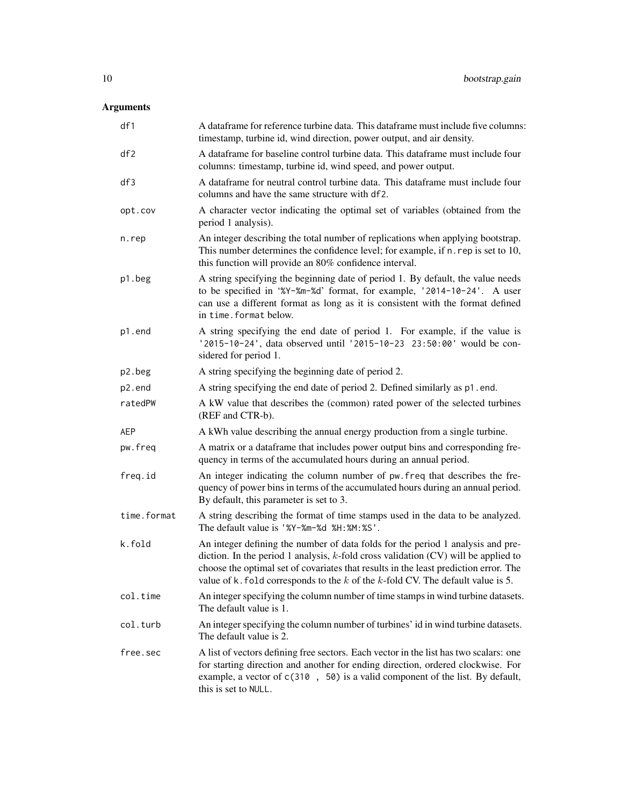# Arguments

| df1         | A dataframe for reference turbine data. This dataframe must include five columns:<br>timestamp, turbine id, wind direction, power output, and air density.                                                                                                                                                                                                  |
|-------------|-------------------------------------------------------------------------------------------------------------------------------------------------------------------------------------------------------------------------------------------------------------------------------------------------------------------------------------------------------------|
| df2         | A dataframe for baseline control turbine data. This dataframe must include four<br>columns: timestamp, turbine id, wind speed, and power output.                                                                                                                                                                                                            |
| df3         | A dataframe for neutral control turbine data. This dataframe must include four<br>columns and have the same structure with df2.                                                                                                                                                                                                                             |
| opt.cov     | A character vector indicating the optimal set of variables (obtained from the<br>period 1 analysis).                                                                                                                                                                                                                                                        |
| n.rep       | An integer describing the total number of replications when applying bootstrap.<br>This number determines the confidence level; for example, if n. rep is set to 10,<br>this function will provide an 80% confidence interval.                                                                                                                              |
| p1.beg      | A string specifying the beginning date of period 1. By default, the value needs<br>to be specified in '%Y-%m-%d' format, for example, '2014-10-24'. A user<br>can use a different format as long as it is consistent with the format defined<br>in time. format below.                                                                                      |
| p1.end      | A string specifying the end date of period 1. For example, if the value is<br>'2015-10-24', data observed until '2015-10-23 23:50:00' would be con-<br>sidered for period 1.                                                                                                                                                                                |
| p2.beg      | A string specifying the beginning date of period 2.                                                                                                                                                                                                                                                                                                         |
| p2.end      | A string specifying the end date of period 2. Defined similarly as p1.end.                                                                                                                                                                                                                                                                                  |
| ratedPW     | A kW value that describes the (common) rated power of the selected turbines<br>(REF and CTR-b).                                                                                                                                                                                                                                                             |
| <b>AEP</b>  | A kWh value describing the annual energy production from a single turbine.                                                                                                                                                                                                                                                                                  |
| pw.freq     | A matrix or a dataframe that includes power output bins and corresponding fre-<br>quency in terms of the accumulated hours during an annual period.                                                                                                                                                                                                         |
| freq.id     | An integer indicating the column number of pw. freq that describes the fre-<br>quency of power bins in terms of the accumulated hours during an annual period.<br>By default, this parameter is set to 3.                                                                                                                                                   |
| time.format | A string describing the format of time stamps used in the data to be analyzed.<br>The default value is '%Y-%m-%d %H:%M:%S'.                                                                                                                                                                                                                                 |
| k.fold      | An integer defining the number of data folds for the period 1 analysis and pre-<br>diction. In the period 1 analysis, $k$ -fold cross validation (CV) will be applied to<br>choose the optimal set of covariates that results in the least prediction error. The<br>value of $k$ . fold corresponds to the $k$ of the $k$ -fold CV. The default value is 5. |
| col.time    | An integer specifying the column number of time stamps in wind turbine datasets.<br>The default value is 1.                                                                                                                                                                                                                                                 |
| col.turb    | An integer specifying the column number of turbines' id in wind turbine datasets.<br>The default value is 2.                                                                                                                                                                                                                                                |
| free.sec    | A list of vectors defining free sectors. Each vector in the list has two scalars: one<br>for starting direction and another for ending direction, ordered clockwise. For<br>example, a vector of c(310, 50) is a valid component of the list. By default,<br>this is set to NULL.                                                                           |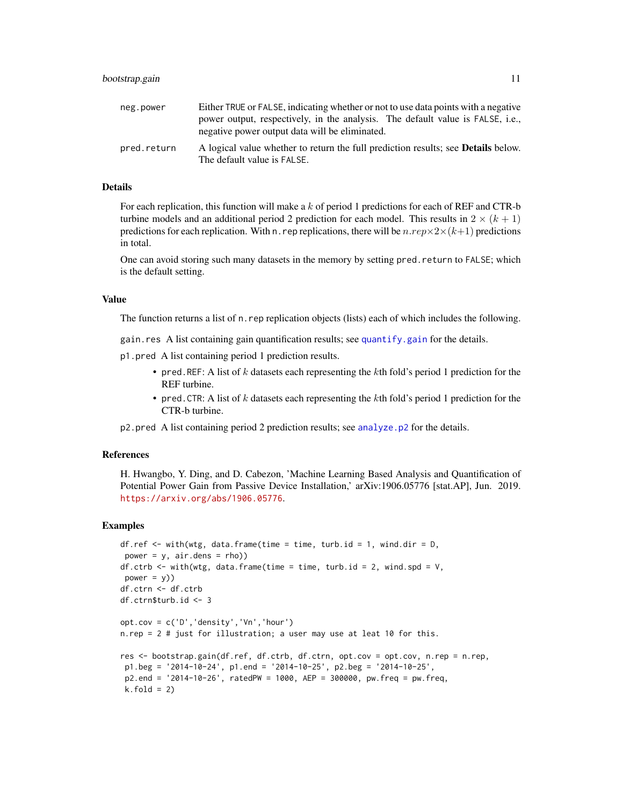<span id="page-10-0"></span>

| neg.power   | Either TRUE or FALSE, indicating whether or not to use data points with a negative                                      |
|-------------|-------------------------------------------------------------------------------------------------------------------------|
|             | power output, respectively, in the analysis. The default value is FALSE, i.e.,                                          |
|             | negative power output data will be eliminated.                                                                          |
| pred.return | A logical value whether to return the full prediction results; see <b>Details</b> below.<br>The default value is FALSE. |

#### Details

For each replication, this function will make a  $k$  of period 1 predictions for each of REF and CTR-b turbine models and an additional period 2 prediction for each model. This results in  $2 \times (k + 1)$ predictions for each replication. With n. rep replications, there will be  $n.rep \times 2\times (k+1)$  predictions in total.

One can avoid storing such many datasets in the memory by setting pred.return to FALSE; which is the default setting.

# Value

The function returns a list of n.rep replication objects (lists) each of which includes the following.

gain.res A list containing gain quantification results; see [quantify.gain](#page-12-1) for the details.

p1.pred A list containing period 1 prediction results.

- pred.REF: A list of  $k$  datasets each representing the  $k$ th fold's period 1 prediction for the REF turbine.
- pred. CTR: A list of  $k$  datasets each representing the  $k$ th fold's period 1 prediction for the CTR-b turbine.

p2.pred A list containing period 2 prediction results; see [analyze.p2](#page-5-1) for the details.

# References

H. Hwangbo, Y. Ding, and D. Cabezon, 'Machine Learning Based Analysis and Quantification of Potential Power Gain from Passive Device Installation,' arXiv:1906.05776 [stat.AP], Jun. 2019. <https://arxiv.org/abs/1906.05776>.

# Examples

```
df.ref \leq with(wtg, data.frame(time = time, turb.id = 1, wind.dir = D,
power = y, air.dens = rho))
df.ctrb \le with(wtg, data.frame(time = time, turb.id = 2, wind.spd = V,
power = y)df.ctrn <- df.ctrb
df.ctrn$turb.id <- 3
opt.cov = c('D','density','Vn','hour')
n.rep = 2 # just for illustration; a user may use at leat 10 for this.
res <- bootstrap.gain(df.ref, df.ctrb, df.ctrn, opt.cov = opt.cov, n.rep = n.rep,
p1.beg = '2014-10-24', p1.end = '2014-10-25', p2.beg = '2014-10-25',
p2.end = '2014-10-26', ratedPW = 1000, AEP = 300000, pw.freq = pw.freq,
k.fold = 2)
```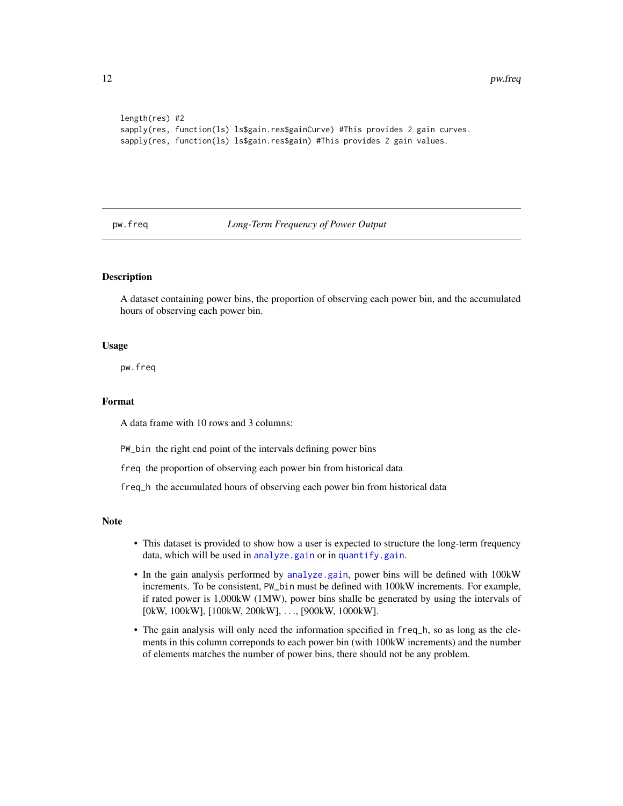```
length(res) #2
sapply(res, function(ls) ls$gain.res$gainCurve) #This provides 2 gain curves.
sapply(res, function(ls) ls$gain.res$gain) #This provides 2 gain values.
```
pw.freq *Long-Term Frequency of Power Output*

# **Description**

A dataset containing power bins, the proportion of observing each power bin, and the accumulated hours of observing each power bin.

# Usage

pw.freq

# Format

A data frame with 10 rows and 3 columns:

PW\_bin the right end point of the intervals defining power bins

freq the proportion of observing each power bin from historical data

freq\_h the accumulated hours of observing each power bin from historical data

# Note

- This dataset is provided to show how a user is expected to structure the long-term frequency data, which will be used in [analyze.gain](#page-1-1) or in [quantify.gain](#page-12-1).
- In the gain analysis performed by [analyze.gain](#page-1-1), power bins will be defined with 100kW increments. To be consistent, PW\_bin must be defined with 100kW increments. For example, if rated power is 1,000kW (1MW), power bins shalle be generated by using the intervals of [0kW, 100kW], [100kW, 200kW], . . ., [900kW, 1000kW].
- The gain analysis will only need the information specified in freq\_h, so as long as the elements in this column correponds to each power bin (with 100kW increments) and the number of elements matches the number of power bins, there should not be any problem.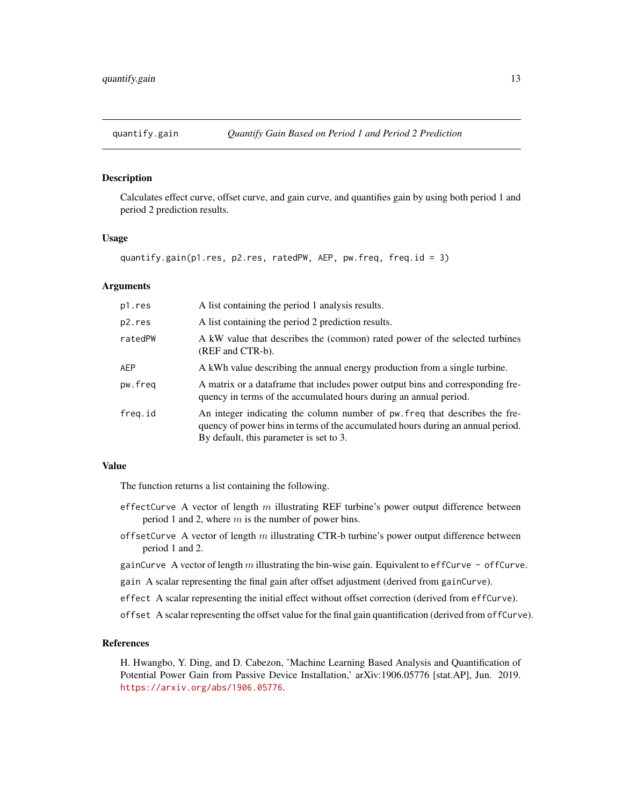<span id="page-12-1"></span><span id="page-12-0"></span>

# Description

Calculates effect curve, offset curve, and gain curve, and quantifies gain by using both period 1 and period 2 prediction results.

# Usage

```
quantify.gain(p1.res, p2.res, ratedPW, AEP, pw.freq, freq.id = 3)
```
# Arguments

| p1.res  | A list containing the period 1 analysis results.                                                                                                                                                          |
|---------|-----------------------------------------------------------------------------------------------------------------------------------------------------------------------------------------------------------|
| p2.res  | A list containing the period 2 prediction results.                                                                                                                                                        |
| ratedPW | A kW value that describes the (common) rated power of the selected turbines<br>(REF and CTR-b).                                                                                                           |
| AEP     | A kWh value describing the annual energy production from a single turbine.                                                                                                                                |
| pw.freq | A matrix or a dataframe that includes power output bins and corresponding fre-<br>quency in terms of the accumulated hours during an annual period.                                                       |
| freg.id | An integer indicating the column number of pw. freq that describes the fre-<br>quency of power bins in terms of the accumulated hours during an annual period.<br>By default, this parameter is set to 3. |

### Value

The function returns a list containing the following.

- effectCurve A vector of length  $m$  illustrating REF turbine's power output difference between period 1 and 2, where  $m$  is the number of power bins.
- offsetCurve A vector of length  $m$  illustrating CTR-b turbine's power output difference between period 1 and 2.
- gainCurve A vector of length  $m$  illustrating the bin-wise gain. Equivalent to effCurve offCurve.
- gain A scalar representing the final gain after offset adjustment (derived from gainCurve).
- effect A scalar representing the initial effect without offset correction (derived from effCurve).
- offset A scalar representing the offset value for the final gain quantification (derived from offCurve).

# References

H. Hwangbo, Y. Ding, and D. Cabezon, 'Machine Learning Based Analysis and Quantification of Potential Power Gain from Passive Device Installation,' arXiv:1906.05776 [stat.AP], Jun. 2019. <https://arxiv.org/abs/1906.05776>.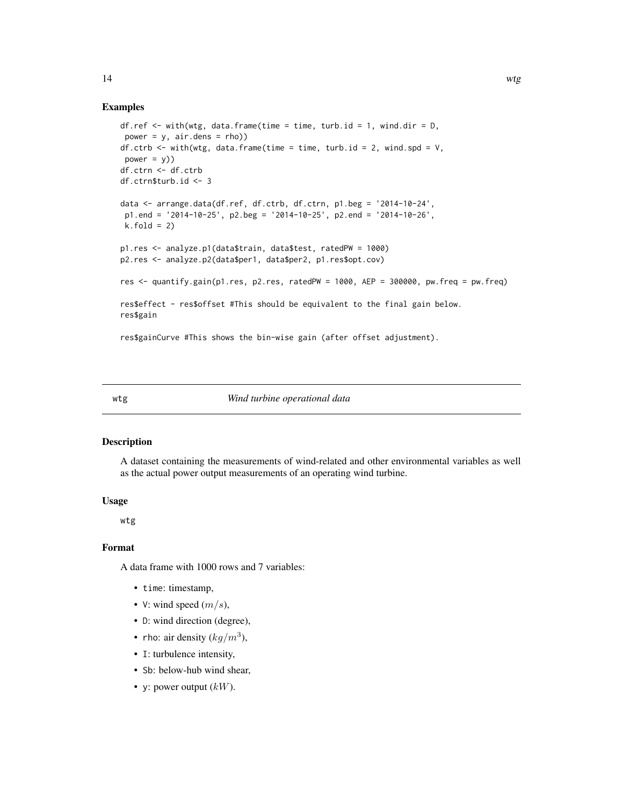# Examples

```
df.ref \leq with(wtg, data.frame(time = time, turb.id = 1, wind.dir = D,
power = y, air.dens = rho))
df.ctrb \le with(wtg, data.frame(time = time, turb.id = 2, wind.spd = V,
power = y)df.ctrn <- df.ctrb
df.ctrn$turb.id <- 3
data <- arrange.data(df.ref, df.ctrb, df.ctrn, p1.beg = '2014-10-24',
 p1.end = '2014-10-25', p2.beg = '2014-10-25', p2.end = '2014-10-26',
 k.fold = 2)p1.res <- analyze.p1(data$train, data$test, ratedPW = 1000)
p2.res <- analyze.p2(data$per1, data$per2, p1.res$opt.cov)
res <- quantify.gain(p1.res, p2.res, ratedPW = 1000, AEP = 300000, pw.freq = pw.freq)
res$effect - res$offset #This should be equivalent to the final gain below.
res$gain
```
res\$gainCurve #This shows the bin-wise gain (after offset adjustment).

wtg *Wind turbine operational data*

# Description

A dataset containing the measurements of wind-related and other environmental variables as well as the actual power output measurements of an operating wind turbine.

# Usage

wtg

# Format

A data frame with 1000 rows and 7 variables:

- time: timestamp,
- V: wind speed  $(m/s)$ ,
- D: wind direction (degree),
- rho: air density  $(kg/m^3)$ ,
- I: turbulence intensity,
- Sb: below-hub wind shear,
- y: power output  $(kW)$ .

<span id="page-13-0"></span>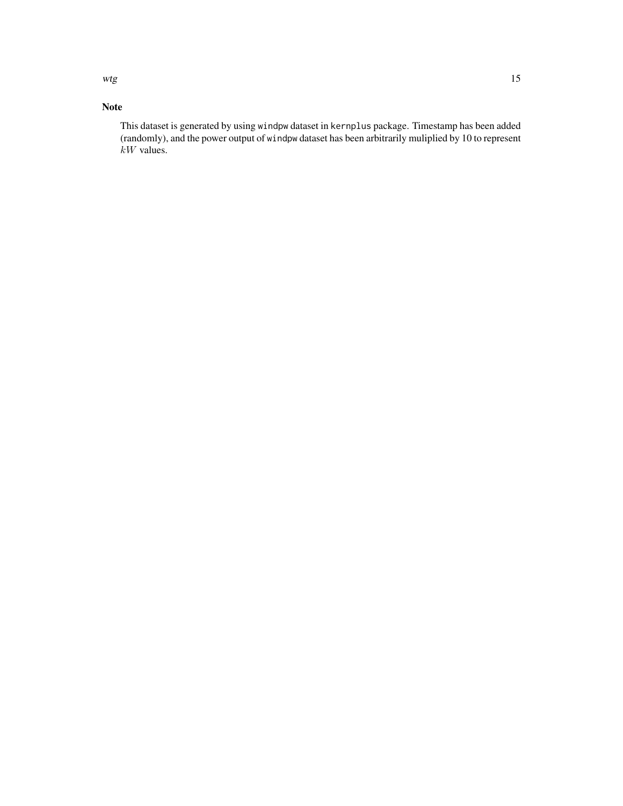wtg and the state of the state of the state of the state of the state of the state of the state of the state of the state of the state of the state of the state of the state of the state of the state of the state of the st

# Note

This dataset is generated by using windpw dataset in kernplus package. Timestamp has been added (randomly), and the power output of windpw dataset has been arbitrarily muliplied by 10 to represent  $kW$  values.